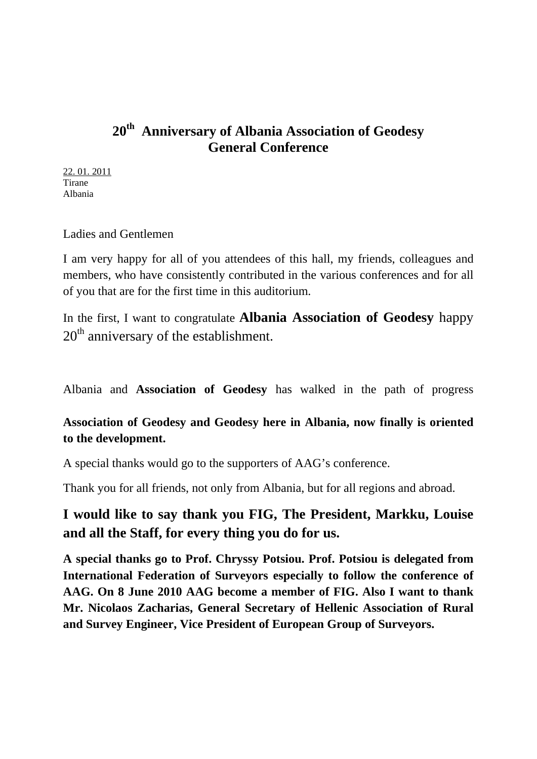# **20th Anniversary of Albania Association of Geodesy General Conference**

22. 01. 2011 Tirane Albania

Ladies and Gentlemen

I am very happy for all of you attendees of this hall, my friends, colleagues and members, who have consistently contributed in the various conferences and for all of you that are for the first time in this auditorium.

In the first, I want to congratulate **Albania Association of Geodesy** happy  $20<sup>th</sup>$  anniversary of the establishment.

Albania and **Association of Geodesy** has walked in the path of progress

### **Association of Geodesy and Geodesy here in Albania, now finally is oriented to the development.**

A special thanks would go to the supporters of AAG's conference.

Thank you for all friends, not only from Albania, but for all regions and abroad.

## **I would like to say thank you FIG, The President, Markku, Louise and all the Staff, for every thing you do for us.**

**A special thanks go to Prof. Chryssy Potsiou. Prof. Potsiou is delegated from International Federation of Surveyors especially to follow the conference of AAG. On 8 June 2010 AAG become a member of FIG. Also I want to thank Mr. Nicolaos Zacharias, General Secretary of Hellenic Association of Rural and Survey Engineer, Vice President of European Group of Surveyors.**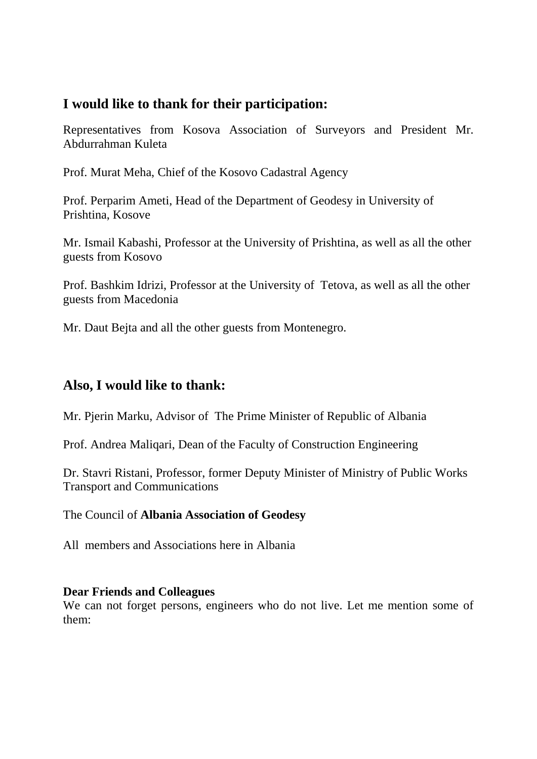## **I would like to thank for their participation:**

Representatives from Kosova Association of Surveyors and President Mr. Abdurrahman Kuleta

Prof. Murat Meha, Chief of the Kosovo Cadastral Agency

Prof. Perparim Ameti, Head of the Department of Geodesy in University of Prishtina, Kosove

Mr. Ismail Kabashi, Professor at the University of Prishtina, as well as all the other guests from Kosovo

Prof. Bashkim Idrizi, Professor at the University of Tetova, as well as all the other guests from Macedonia

Mr. Daut Bejta and all the other guests from Montenegro.

#### **Also, I would like to thank:**

Mr. Pjerin Marku, Advisor of The Prime Minister of Republic of Albania

Prof. Andrea Maliqari, Dean of the Faculty of Construction Engineering

Dr. Stavri Ristani, Professor, former Deputy Minister of Ministry of Public Works Transport and Communications

The Council of **Albania Association of Geodesy** 

All members and Associations here in Albania

#### **Dear Friends and Colleagues**

We can not forget persons, engineers who do not live. Let me mention some of them: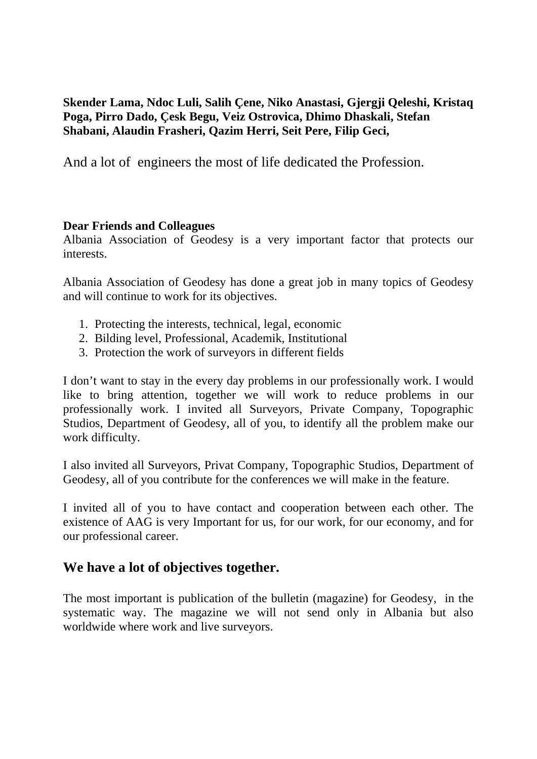**Skender Lama, Ndoc Luli, Salih Çene, Niko Anastasi, Gjergji Qeleshi, Kristaq Poga, Pirro Dado, Çesk Begu, Veiz Ostrovica, Dhimo Dhaskali, Stefan Shabani, Alaudin Frasheri, Qazim Herri, Seit Pere, Filip Geci,** 

And a lot of engineers the most of life dedicated the Profession.

#### **Dear Friends and Colleagues**

Albania Association of Geodesy is a very important factor that protects our interests.

Albania Association of Geodesy has done a great job in many topics of Geodesy and will continue to work for its objectives.

- 1. Protecting the interests, technical, legal, economic
- 2. Bilding level, Professional, Academik, Institutional
- 3. Protection the work of surveyors in different fields

I don't want to stay in the every day problems in our professionally work. I would like to bring attention, together we will work to reduce problems in our professionally work. I invited all Surveyors, Private Company, Topographic Studios, Department of Geodesy, all of you, to identify all the problem make our work difficulty.

I also invited all Surveyors, Privat Company, Topographic Studios, Department of Geodesy, all of you contribute for the conferences we will make in the feature.

I invited all of you to have contact and cooperation between each other. The existence of AAG is very Important for us, for our work, for our economy, and for our professional career.

#### **We have a lot of objectives together.**

The most important is publication of the bulletin (magazine) for Geodesy, in the systematic way. The magazine we will not send only in Albania but also worldwide where work and live surveyors.